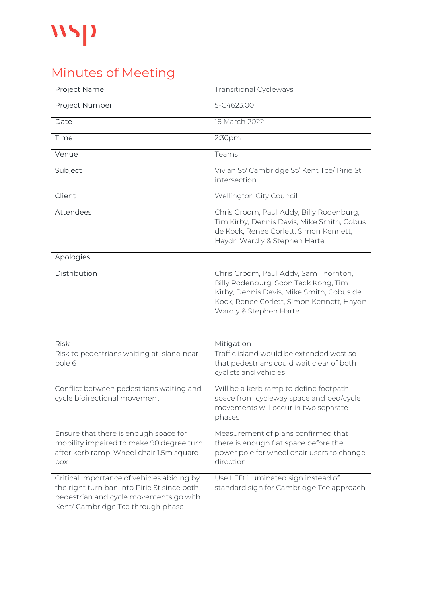## $\mathbf{W}$

## Minutes of Meeting

| Project Name   | <b>Transitional Cycleways</b>                                                                                                                                                                     |
|----------------|---------------------------------------------------------------------------------------------------------------------------------------------------------------------------------------------------|
| Project Number | 5-C4623.00                                                                                                                                                                                        |
| Date           | 16 March 2022                                                                                                                                                                                     |
| Time           | 2:30pm                                                                                                                                                                                            |
| Venue          | Teams                                                                                                                                                                                             |
| Subject        | Vivian St/ Cambridge St/ Kent Tce/ Pirie St<br>intersection                                                                                                                                       |
| Client         | Wellington City Council                                                                                                                                                                           |
| Attendees      | Chris Groom, Paul Addy, Billy Rodenburg,<br>Tim Kirby, Dennis Davis, Mike Smith, Cobus<br>de Kock, Renee Corlett, Simon Kennett,<br>Haydn Wardly & Stephen Harte                                  |
| Apologies      |                                                                                                                                                                                                   |
| Distribution   | Chris Groom, Paul Addy, Sam Thornton,<br>Billy Rodenburg, Soon Teck Kong, Tim<br>Kirby, Dennis Davis, Mike Smith, Cobus de<br>Kock, Renee Corlett, Simon Kennett, Haydn<br>Wardly & Stephen Harte |

| <b>Risk</b>                                                                                                                                                             | Mitigation                                                                                                                              |
|-------------------------------------------------------------------------------------------------------------------------------------------------------------------------|-----------------------------------------------------------------------------------------------------------------------------------------|
| Risk to pedestrians waiting at island near<br>pole 6                                                                                                                    | Traffic island would be extended west so<br>that pedestrians could wait clear of both<br>cyclists and vehicles                          |
| Conflict between pedestrians waiting and<br>cycle bidirectional movement                                                                                                | Will be a kerb ramp to define footpath<br>space from cycleway space and ped/cycle<br>movements will occur in two separate<br>phases     |
| Ensure that there is enough space for<br>mobility impaired to make 90 degree turn<br>after kerb ramp. Wheel chair 1.5m square<br>box                                    | Measurement of plans confirmed that<br>there is enough flat space before the<br>power pole for wheel chair users to change<br>direction |
| Critical importance of vehicles abiding by<br>the right turn ban into Pirie St since both<br>pedestrian and cycle movements go with<br>Kent/Cambridge Tce through phase | Use LED illuminated sign instead of<br>standard sign for Cambridge Tce approach                                                         |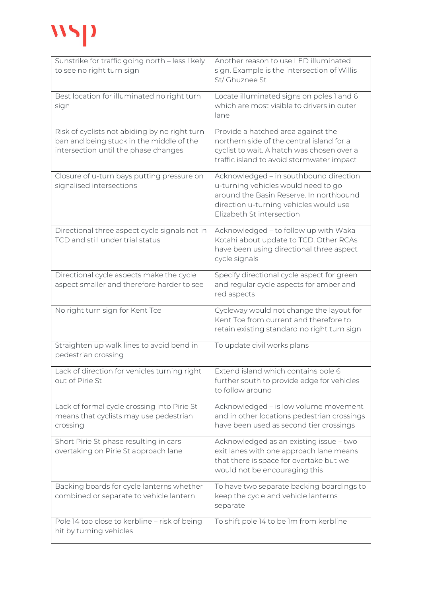## **WSP**

| Sunstrike for traffic going north - less likely<br>to see no right turn sign                                                      | Another reason to use LED illuminated<br>sign. Example is the intersection of Willis                                                                                                            |
|-----------------------------------------------------------------------------------------------------------------------------------|-------------------------------------------------------------------------------------------------------------------------------------------------------------------------------------------------|
|                                                                                                                                   | St/ Ghuznee St                                                                                                                                                                                  |
| Best location for illuminated no right turn<br>sign                                                                               | Locate illuminated signs on poles 1 and 6<br>which are most visible to drivers in outer<br>lane                                                                                                 |
| Risk of cyclists not abiding by no right turn<br>ban and being stuck in the middle of the<br>intersection until the phase changes | Provide a hatched area against the<br>northern side of the central island for a<br>cyclist to wait. A hatch was chosen over a<br>traffic island to avoid stormwater impact                      |
| Closure of u-turn bays putting pressure on<br>signalised intersections                                                            | Acknowledged - in southbound direction<br>u-turning vehicles would need to go<br>around the Basin Reserve. In northbound<br>direction u-turning vehicles would use<br>Elizabeth St intersection |
| Directional three aspect cycle signals not in<br>TCD and still under trial status                                                 | Acknowledged - to follow up with Waka<br>Kotahi about update to TCD. Other RCAs<br>have been using directional three aspect<br>cycle signals                                                    |
| Directional cycle aspects make the cycle<br>aspect smaller and therefore harder to see                                            | Specify directional cycle aspect for green<br>and regular cycle aspects for amber and<br>red aspects                                                                                            |
| No right turn sign for Kent Tce                                                                                                   | Cycleway would not change the layout for<br>Kent Tce from current and therefore to<br>retain existing standard no right turn sign                                                               |
| Straighten up walk lines to avoid bend in<br>pedestrian crossing                                                                  | To update civil works plans                                                                                                                                                                     |
| Lack of direction for vehicles turning right<br>out of Pirie St                                                                   | Extend island which contains pole 6<br>further south to provide edge for vehicles<br>to follow around                                                                                           |
| Lack of formal cycle crossing into Pirie St<br>means that cyclists may use pedestrian<br>crossing                                 | Acknowledged - is low volume movement<br>and in other locations pedestrian crossings<br>have been used as second tier crossings                                                                 |
| Short Pirie St phase resulting in cars<br>overtaking on Pirie St approach lane                                                    | Acknowledged as an existing issue - two<br>exit lanes with one approach lane means<br>that there is space for overtake but we<br>would not be encouraging this                                  |
| Backing boards for cycle lanterns whether<br>combined or separate to vehicle lantern                                              | To have two separate backing boardings to<br>keep the cycle and vehicle lanterns<br>separate                                                                                                    |
| Pole 14 too close to kerbline - risk of being<br>hit by turning vehicles                                                          | To shift pole 14 to be 1m from kerbline                                                                                                                                                         |